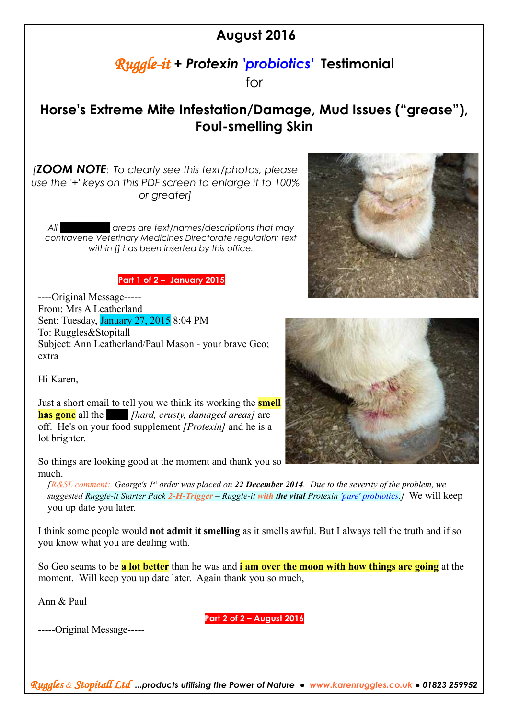## **August 2016**

## *Ruggle-it* **+** *Protexin 'probiotics'* **Testimonial**

for

## **Horse's Extreme Mite Infestation/Damage, Mud Issues ("grease"), Foul-smelling Skin**

*[ZOOM NOTE: To clearly see this text/photos, please use the '+' keys on this PDF screen to enlarge it to 100% or greater]*

*All blacked out areas are text/names/descriptions that may contravene Veterinary Medicines Directorate regulation; text within [] has been inserted by this office.*

## **Part 1 of 2 – January 2015**

----Original Message----- From: Mrs A Leatherland Sent: Tuesday, January 27, 2015 8:04 PM To: Ruggles&Stopitall Subject: Ann Leatherland/Paul Mason - your brave Geo; extra

Hi Karen,

Just a short email to tell you we think its working the **smell has gone** all the *[hard, crusty, damaged areas]* are off. He's on your food supplement *[Protexin]* and he is a lot brighter.

So things are looking good at the moment and thank you so much.

*[R&SL comment: George's 1st order was placed on 22 December 2014. Due to the severity of the problem, we suggested Ruggle-it Starter Pack 2-H-Trigger – Ruggle-it with the vital Protexin 'pure' probiotics.]* We will keep you up date you later.

I think some people would **not admit it smelling** as it smells awful. But I always tell the truth and if so you know what you are dealing with.

So Geo seams to be **a lot better** than he was and **i am over the moon with how things are going** at the moment. Will keep you up date later. Again thank you so much,

Ann & Paul

-----Original Message-----

**Part 2 of 2 – August 2016**





*Ruggles & Stopitall Ltd ...products utilising the Power of Nature ● [www.karenruggles.co.uk](http://www.karenruggles.co.uk/) ● 01823 259952*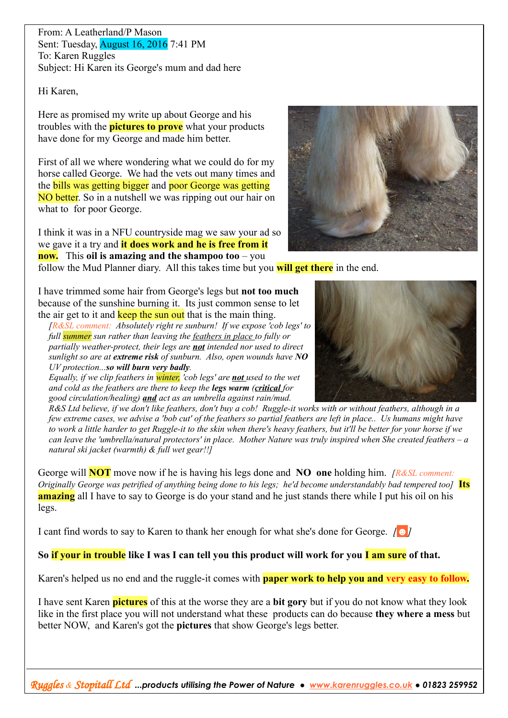From: A Leatherland/P Mason Sent: Tuesday, August 16, 2016 7:41 PM To: Karen Ruggles Subject: Hi Karen its George's mum and dad here

Hi Karen,

Here as promised my write up about George and his troubles with the **pictures to prove** what your products have done for my George and made him better.

First of all we where wondering what we could do for my horse called George. We had the vets out many times and the bills was getting bigger and poor George was getting NO better. So in a nutshell we was ripping out our hair on what to for poor George.

I think it was in a NFU countryside mag we saw your ad so we gave it a try and **it does work and he is free from it now.** This **oil is amazing and the shampoo too** – you



I have trimmed some hair from George's legs but **not too much** because of the sunshine burning it. Its just common sense to let the air get to it and keep the sun out that is the main thing.

*[R&SL comment: Absolutely right re sunburn! If we expose 'cob legs' to full summer sun rather than leaving the feathers in place to fully or partially weather-protect, their legs are not intended nor used to direct sunlight so are at extreme risk of sunburn. Also, open wounds have NO UV protection...so will burn very badly.* 

*Equally, if we clip feathers in winter, 'cob legs' are not used to the wet and cold as the feathers are there to keep the legs warm (critical for good circulation/healing) and act as an umbrella against rain/mud.* 

*R&S Ltd believe, if we don't like feathers, don't buy a cob! Ruggle-it works with or without feathers, although in a few extreme cases, we advise a 'bob cut' of the feathers so partial feathers are left in place.. Us humans might have to work a little harder to get Ruggle-it to the skin when there's heavy feathers, but it'll be better for your horse if we can leave the 'umbrella/natural protectors' in place. Mother Nature was truly inspired when She created feathers – a natural ski jacket (warmth) & full wet gear!!]*

George will **NOT** move now if he is having his legs done and **NO one** holding him. *[R&SL comment: Originally George was petrified of anything being done to his legs; he'd become understandably bad tempered too]* Its **amazing** all I have to say to George is do your stand and he just stands there while I put his oil on his legs.

I cant find words to say to Karen to thank her enough for what she's done for George. *[☻]*

So if your in trouble like I was I can tell you this product will work for you **I am sure** of that.

Karen's helped us no end and the ruggle-it comes with **paper work to help you and very easy to follow.**

I have sent Karen **pictures** of this at the worse they are a **bit gory** but if you do not know what they look like in the first place you will not understand what these products can do because **they where a mess** but better NOW, and Karen's got the **pictures** that show George's legs better.

*Ruggles & Stopitall Ltd ...products utilising the Power of Nature ● [www.karenruggles.co.uk](http://www.karenruggles.co.uk/) ● 01823 259952*